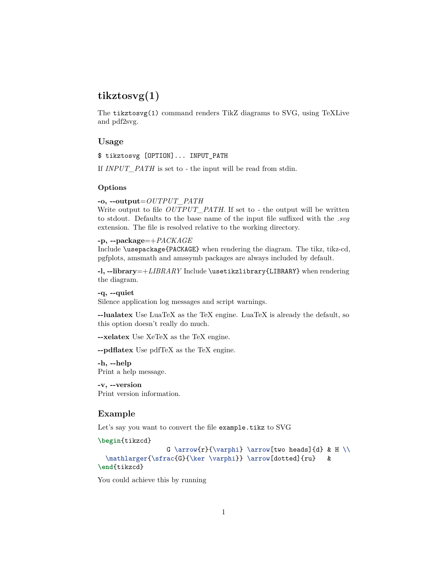# **tikztosvg(1)**

The tikztosvg(1) command renders TikZ diagrams to SVG, using [TeXLive](https://tug.org/texlive/) and [pdf2svg.](https://github.com/dawbarton/pdf2svg)

# **Usage**

\$ tikztosvg [OPTION]... INPUT\_PATH

If *INPUT\_PATH* is set to *-* the input will be read from stdin.

#### **Options**

### **-o, --output**=*OUTPUT\_PATH*

Write output to file *OUTPUT\_PATH*. If set to - the output will be written to stdout. Defaults to the base name of the input file suffixed with the *.svg* extension. The file is resolved relative to the working directory.

### **-p, --package**=+*PACKAGE*

Include \usepackage{PACKAGE} when rendering the diagram. The tikz, tikz-cd, pgfplots, amsmath and amssymb packages are always included by default.

**-l, --library**=+*LIBRARY* Include \usetikzlibrary{LIBRARY} when rendering the diagram.

#### **-q, --quiet**

Silence application log messages and script warnings.

**--lualatex** Use [LuaTeX](http://luatex.org/) as the TeX engine. LuaTeX is already the default, so this option doesn't really do much.

**--xelatex** Use [XeTeX](http://xetex.sourceforge.net/) as the TeX engine.

**--pdflatex** Use [pdfTeX](https://www.tug.org/applications/pdftex/) as the TeX engine.

**-h, --help** Print a help message.

**-v, --version** Print version information.

#### **Example**

Let's say you want to convert the file example.tikz to SVG

```
\begin{tikzcd}
```

```
G \arrow{r}{\varphi} \arrow[two heads]{d} & H \\
  \mathlarger{\sfrac{G}{\ker \varphi}} \arrow[dotted]{ru} &
\end{tikzcd}
```
You could achieve this by running